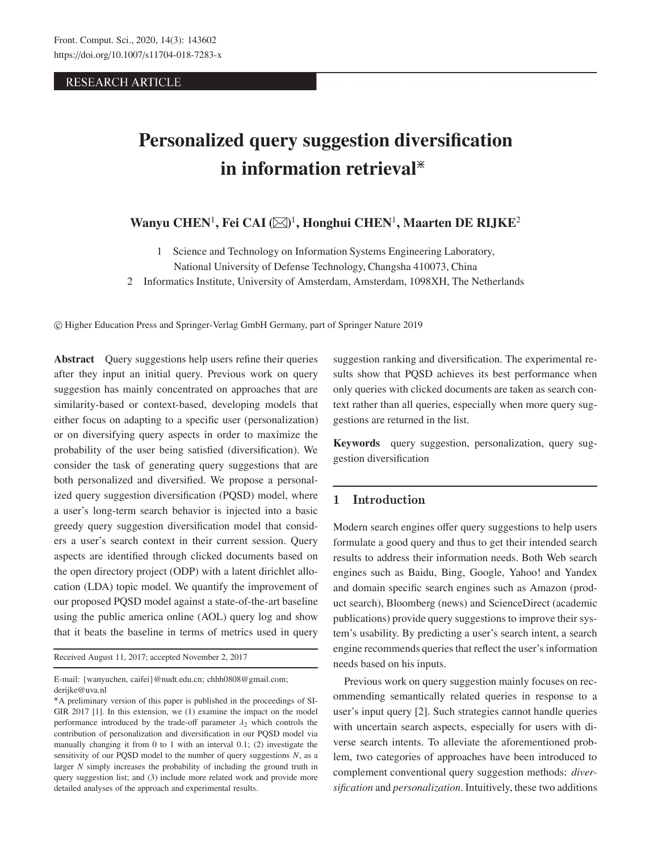# **RESEARCH ARTICLE**

# **Personalized query suggestion diversification in information retrieval**\*

# **Wanyu CHEN**<sup>1</sup>**, Fei CAI** <sup>1</sup>**, Honghui CHEN**<sup>1</sup>**, Maarten DE RIJKE**<sup>2</sup>

- 1 Science and Technology on Information Systems Engineering Laboratory,
- National University of Defense Technology, Changsha 410073, China
- 2 Informatics Institute, University of Amsterdam, Amsterdam, 1098XH, The Netherlands

-c Higher Education Press and Springer-Verlag GmbH Germany, part of Springer Nature 2019

**Abstract** Query suggestions help users refine their queries after they input an initial query. Previous work on query suggestion has mainly concentrated on approaches that are similarity-based or context-based, developing models that either focus on adapting to a specific user (personalization) or on diversifying query aspects in order to maximize the probability of the user being satisfied (diversification). We consider the task of generating query suggestions that are both personalized and diversified. We propose a personalized query suggestion diversification (PQSD) model, where a user's long-term search behavior is injected into a basic greedy query suggestion diversification model that considers a user's search context in their current session. Query aspects are identified through clicked documents based on the open directory project (ODP) with a latent dirichlet allocation (LDA) topic model. We quantify the improvement of our proposed PQSD model against a state-of-the-art baseline using the public america online (AOL) query log and show that it beats the baseline in terms of metrics used in query

Received August 11, 2017; accepted November 2, 2017

E-mail: {wanyuchen, caifei}@nudt.edu.cn; chhh0808@gmail.com; derijke@uva.nl

suggestion ranking and diversification. The experimental results show that PQSD achieves its best performance when only queries with clicked documents are taken as search context rather than all queries, especially when more query suggestions are returned in the list.

**Keywords** query suggestion, personalization, query suggestion diversification

# **1 Introduction**

Modern search engines offer query suggestions to help users formulate a good query and thus to get their intended search results to address their information needs. Both Web search engines such as Baidu, Bing, Google, Yahoo! and Yandex and domain specific search engines such as Amazon (product search), Bloomberg (news) and ScienceDirect (academic publications) provide query suggestions to improve their system's usability. By predicting a user's search intent, a search engine recommends queries that reflect the user's information needs based on his inputs.

Previous work on query suggestion mainly focuses on recommending semantically related queries in response to a user's input query [2]. Such strategies cannot handle queries with uncertain search aspects, especially for users with diverse search intents. To alleviate the aforementioned problem, two categories of approaches have been introduced to complement conventional query suggestion methods: *diversification* and *personalization*. Intuitively, these two additions

<sup>\*</sup>A preliminary version of this paper is published in the proceedings of SI-GIR 2017 [1]. In this extension, we (1) examine the impact on the model performance introduced by the trade-off parameter  $\lambda_2$  which controls the contribution of personalization and diversification in our PQSD model via manually changing it from 0 to 1 with an interval 0.1; (2) investigate the sensitivity of our PQSD model to the number of query suggestions *N*, as a larger *N* simply increases the probability of including the ground truth in query suggestion list; and (3) include more related work and provide more detailed analyses of the approach and experimental results.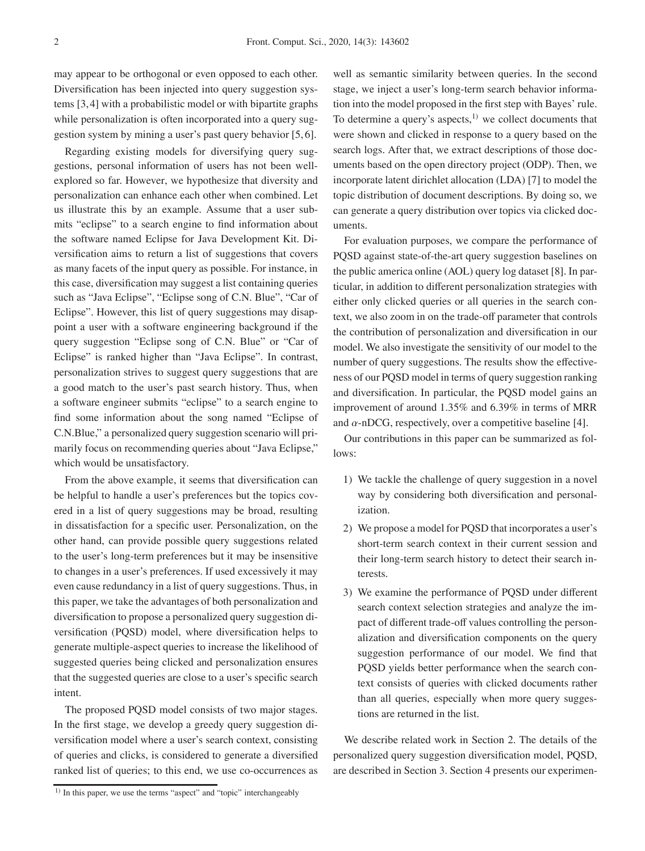may appear to be orthogonal or even opposed to each other. Diversification has been injected into query suggestion systems [3, 4] with a probabilistic model or with bipartite graphs while personalization is often incorporated into a query suggestion system by mining a user's past query behavior [5, 6].

Regarding existing models for diversifying query suggestions, personal information of users has not been wellexplored so far. However, we hypothesize that diversity and personalization can enhance each other when combined. Let us illustrate this by an example. Assume that a user submits "eclipse" to a search engine to find information about the software named Eclipse for Java Development Kit. Diversification aims to return a list of suggestions that covers as many facets of the input query as possible. For instance, in this case, diversification may suggest a list containing queries such as "Java Eclipse", "Eclipse song of C.N. Blue", "Car of Eclipse". However, this list of query suggestions may disappoint a user with a software engineering background if the query suggestion "Eclipse song of C.N. Blue" or "Car of Eclipse" is ranked higher than "Java Eclipse". In contrast, personalization strives to suggest query suggestions that are a good match to the user's past search history. Thus, when a software engineer submits "eclipse" to a search engine to find some information about the song named "Eclipse of C.N.Blue," a personalized query suggestion scenario will primarily focus on recommending queries about "Java Eclipse," which would be unsatisfactory.

From the above example, it seems that diversification can be helpful to handle a user's preferences but the topics covered in a list of query suggestions may be broad, resulting in dissatisfaction for a specific user. Personalization, on the other hand, can provide possible query suggestions related to the user's long-term preferences but it may be insensitive to changes in a user's preferences. If used excessively it may even cause redundancy in a list of query suggestions. Thus, in this paper, we take the advantages of both personalization and diversification to propose a personalized query suggestion diversification (PQSD) model, where diversification helps to generate multiple-aspect queries to increase the likelihood of suggested queries being clicked and personalization ensures that the suggested queries are close to a user's specific search intent.

The proposed PQSD model consists of two major stages. In the first stage, we develop a greedy query suggestion diversification model where a user's search context, consisting of queries and clicks, is considered to generate a diversified ranked list of queries; to this end, we use co-occurrences as

well as semantic similarity between queries. In the second stage, we inject a user's long-term search behavior information into the model proposed in the first step with Bayes' rule. To determine a query's aspects, $1)$  we collect documents that were shown and clicked in response to a query based on the search logs. After that, we extract descriptions of those documents based on the open directory project (ODP). Then, we incorporate latent dirichlet allocation (LDA) [7] to model the topic distribution of document descriptions. By doing so, we can generate a query distribution over topics via clicked documents.

For evaluation purposes, we compare the performance of PQSD against state-of-the-art query suggestion baselines on the public america online (AOL) query log dataset [8]. In particular, in addition to different personalization strategies with either only clicked queries or all queries in the search context, we also zoom in on the trade-off parameter that controls the contribution of personalization and diversification in our model. We also investigate the sensitivity of our model to the number of query suggestions. The results show the effectiveness of our PQSD model in terms of query suggestion ranking and diversification. In particular, the PQSD model gains an improvement of around 1.35% and 6.39% in terms of MRR and  $\alpha$ -nDCG, respectively, over a competitive baseline [4].

Our contributions in this paper can be summarized as follows:

- 1) We tackle the challenge of query suggestion in a novel way by considering both diversification and personalization.
- 2) We propose a model for PQSD that incorporates a user's short-term search context in their current session and their long-term search history to detect their search interests.
- 3) We examine the performance of PQSD under different search context selection strategies and analyze the impact of different trade-off values controlling the personalization and diversification components on the query suggestion performance of our model. We find that PQSD yields better performance when the search context consists of queries with clicked documents rather than all queries, especially when more query suggestions are returned in the list.

We describe related work in Section 2. The details of the personalized query suggestion diversification model, PQSD, are described in Section 3. Section 4 presents our experimen-

<sup>&</sup>lt;sup>1)</sup> In this paper, we use the terms "aspect" and "topic" interchangeably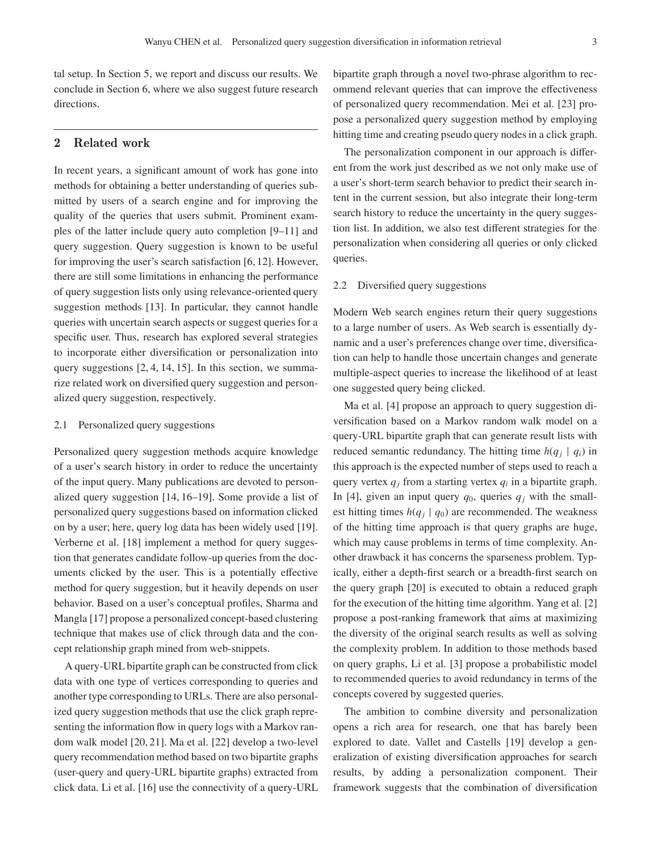tal setup. In Section 5, we report and discuss our results. We conclude in Section 6, where we also suggest future research directions.

# **2 Related work**

In recent years, a significant amount of work has gone into methods for obtaining a better understanding of queries submitted by users of a search engine and for improving the quality of the queries that users submit. Prominent examples of the latter include query auto completion [9–11] and query suggestion. Query suggestion is known to be useful for improving the user's search satisfaction [6, 12]. However, there are still some limitations in enhancing the performance of query suggestion lists only using relevance-oriented query suggestion methods [13]. In particular, they cannot handle queries with uncertain search aspects or suggest queries for a specific user. Thus, research has explored several strategies to incorporate either diversification or personalization into query suggestions [2, 4, 14, 15]. In this section, we summarize related work on diversified query suggestion and personalized query suggestion, respectively.

#### 2.1 Personalized query suggestions

Personalized query suggestion methods acquire knowledge of a user's search history in order to reduce the uncertainty of the input query. Many publications are devoted to personalized query suggestion [14, 16–19]. Some provide a list of personalized query suggestions based on information clicked on by a user; here, query log data has been widely used [19]. Verberne et al. [18] implement a method for query suggestion that generates candidate follow-up queries from the documents clicked by the user. This is a potentially effective method for query suggestion, but it heavily depends on user behavior. Based on a user's conceptual profiles, Sharma and Mangla [17] propose a personalized concept-based clustering technique that makes use of click through data and the concept relationship graph mined from web-snippets.

A query-URL bipartite graph can be constructed from click data with one type of vertices corresponding to queries and another type corresponding to URLs. There are also personalized query suggestion methods that use the click graph representing the information flow in query logs with a Markov random walk model [20, 21]. Ma et al. [22] develop a two-level query recommendation method based on two bipartite graphs (user-query and query-URL bipartite graphs) extracted from click data. Li et al. [16] use the connectivity of a query-URL

bipartite graph through a novel two-phrase algorithm to recommend relevant queries that can improve the effectiveness of personalized query recommendation. Mei et al. [23] propose a personalized query suggestion method by employing hitting time and creating pseudo query nodes in a click graph.

The personalization component in our approach is different from the work just described as we not only make use of a user's short-term search behavior to predict their search intent in the current session, but also integrate their long-term search history to reduce the uncertainty in the query suggestion list. In addition, we also test different strategies for the personalization when considering all queries or only clicked queries.

#### 2.2 Diversified query suggestions

Modern Web search engines return their query suggestions to a large number of users. As Web search is essentially dynamic and a user's preferences change over time, diversification can help to handle those uncertain changes and generate multiple-aspect queries to increase the likelihood of at least one suggested query being clicked.

Ma et al. [4] propose an approach to query suggestion diversification based on a Markov random walk model on a query-URL bipartite graph that can generate result lists with reduced semantic redundancy. The hitting time  $h(q_j | q_i)$  in this approach is the expected number of steps used to reach a query vertex  $q_i$  from a starting vertex  $q_i$  in a bipartite graph. In [4], given an input query  $q_0$ , queries  $q_i$  with the smallest hitting times  $h(q_j | q_0)$  are recommended. The weakness of the hitting time approach is that query graphs are huge, which may cause problems in terms of time complexity. Another drawback it has concerns the sparseness problem. Typically, either a depth-first search or a breadth-first search on the query graph [20] is executed to obtain a reduced graph for the execution of the hitting time algorithm. Yang et al. [2] propose a post-ranking framework that aims at maximizing the diversity of the original search results as well as solving the complexity problem. In addition to those methods based on query graphs, Li et al. [3] propose a probabilistic model to recommended queries to avoid redundancy in terms of the concepts covered by suggested queries.

The ambition to combine diversity and personalization opens a rich area for research, one that has barely been explored to date. Vallet and Castells [19] develop a generalization of existing diversification approaches for search results, by adding a personalization component. Their framework suggests that the combination of diversification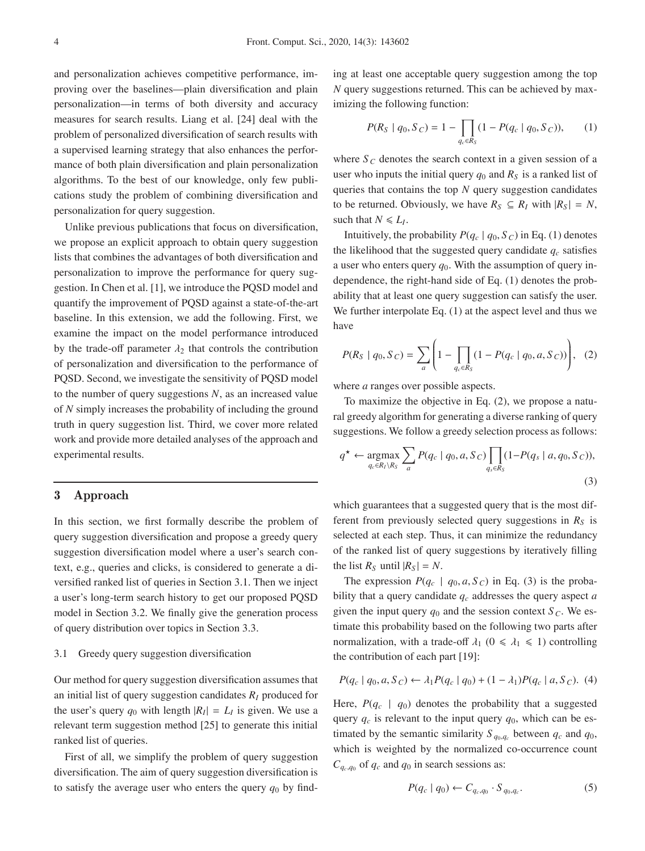and personalization achieves competitive performance, improving over the baselines—plain diversification and plain personalization—in terms of both diversity and accuracy measures for search results. Liang et al. [24] deal with the problem of personalized diversification of search results with a supervised learning strategy that also enhances the performance of both plain diversification and plain personalization algorithms. To the best of our knowledge, only few publications study the problem of combining diversification and personalization for query suggestion.

Unlike previous publications that focus on diversification, we propose an explicit approach to obtain query suggestion lists that combines the advantages of both diversification and personalization to improve the performance for query suggestion. In Chen et al. [1], we introduce the PQSD model and quantify the improvement of PQSD against a state-of-the-art baseline. In this extension, we add the following. First, we examine the impact on the model performance introduced by the trade-off parameter  $\lambda_2$  that controls the contribution of personalization and diversification to the performance of PQSD. Second, we investigate the sensitivity of PQSD model to the number of query suggestions *N*, as an increased value of *N* simply increases the probability of including the ground truth in query suggestion list. Third, we cover more related work and provide more detailed analyses of the approach and experimental results.

## **3 Approach**

In this section, we first formally describe the problem of query suggestion diversification and propose a greedy query suggestion diversification model where a user's search context, e.g., queries and clicks, is considered to generate a diversified ranked list of queries in Section 3.1. Then we inject a user's long-term search history to get our proposed PQSD model in Section 3.2. We finally give the generation process of query distribution over topics in Section 3.3.

## 3.1 Greedy query suggestion diversification

Our method for query suggestion diversification assumes that an initial list of query suggestion candidates  $R_I$  produced for the user's query  $q_0$  with length  $|R_I| = L_I$  is given. We use a relevant term suggestion method [25] to generate this initial ranked list of queries.

First of all, we simplify the problem of query suggestion diversification. The aim of query suggestion diversification is to satisfy the average user who enters the query  $q_0$  by finding at least one acceptable query suggestion among the top *N* query suggestions returned. This can be achieved by maximizing the following function:

$$
P(R_S | q_0, S_C) = 1 - \prod_{q_c \in R_S} (1 - P(q_c | q_0, S_C)), \quad (1)
$$

where  $S_C$  denotes the search context in a given session of a user who inputs the initial query  $q_0$  and  $R<sub>S</sub>$  is a ranked list of queries that contains the top *N* query suggestion candidates to be returned. Obviously, we have  $R_S \subseteq R_I$  with  $|R_S| = N$ , such that  $N \le L_I$ .

Intuitively, the probability  $P(q_c | q_0, S_c)$  in Eq. (1) denotes the likelihood that the suggested query candidate  $q_c$  satisfies a user who enters query *q*0. With the assumption of query independence, the right-hand side of Eq. (1) denotes the probability that at least one query suggestion can satisfy the user. We further interpolate Eq. (1) at the aspect level and thus we have

$$
P(R_S | q_0, S_C) = \sum_{a} \left( 1 - \prod_{q_c \in R_S} (1 - P(q_c | q_0, a, S_C)) \right), \quad (2)
$$

where *a* ranges over possible aspects.

To maximize the objective in Eq. (2), we propose a natural greedy algorithm for generating a diverse ranking of query suggestions. We follow a greedy selection process as follows:

$$
q^* \leftarrow \underset{q_c \in R_I \setminus R_S}{\text{argmax}} \sum_a P(q_c \mid q_0, a, S_C) \prod_{q_s \in R_S} (1 - P(q_s \mid a, q_0, S_C)),
$$
\n(3)

which guarantees that a suggested query that is the most different from previously selected query suggestions in  $R<sub>S</sub>$  is selected at each step. Thus, it can minimize the redundancy of the ranked list of query suggestions by iteratively filling the list  $R_S$  until  $|R_S| = N$ .

The expression  $P(q_c | q_0, a, S_c)$  in Eq. (3) is the probability that a query candidate  $q_c$  addresses the query aspect  $a$ given the input query  $q_0$  and the session context  $S_C$ . We estimate this probability based on the following two parts after normalization, with a trade-off  $\lambda_1$  ( $0 \le \lambda_1 \le 1$ ) controlling the contribution of each part [19]:

$$
P(q_c | q_0, a, S_C) \leftarrow \lambda_1 P(q_c | q_0) + (1 - \lambda_1) P(q_c | a, S_C). \tag{4}
$$

Here,  $P(q_c | q_0)$  denotes the probability that a suggested query  $q_c$  is relevant to the input query  $q_0$ , which can be estimated by the semantic similarity  $S_{q_0, q_c}$  between  $q_c$  and  $q_0$ , which is weighted by the normalized co-occurrence count  $C_{q_c,q_0}$  of  $q_c$  and  $q_0$  in search sessions as:

$$
P(q_c \mid q_0) \leftarrow C_{q_c,q_0} \cdot S_{q_0,q_c}.\tag{5}
$$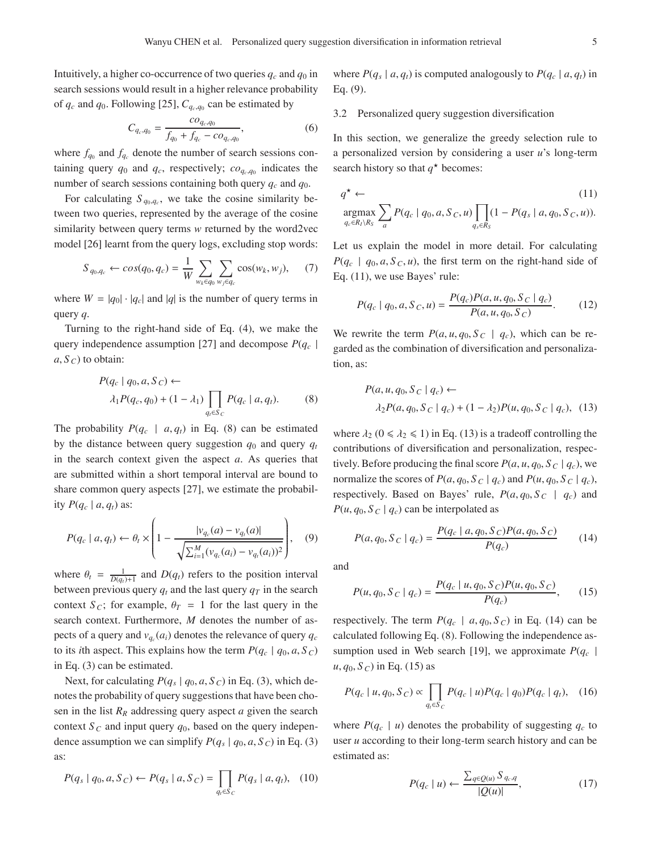Intuitively, a higher co-occurrence of two queries  $q_c$  and  $q_0$  in search sessions would result in a higher relevance probability of  $q_c$  and  $q_0$ . Following [25],  $C_{q_c,q_0}$  can be estimated by

$$
C_{q_c,q_0} = \frac{co_{q_c,q_0}}{f_{q_0} + f_{q_c} - co_{q_c,q_0}},\tag{6}
$$

where  $f_{q_0}$  and  $f_{q_c}$  denote the number of search sessions containing query  $q_0$  and  $q_c$ , respectively;  $co_{q_c,q_0}$  indicates the number of search sessions containing both query *qc* and *q*0.

For calculating  $S_{q_0, q_c}$ , we take the cosine similarity between two queries, represented by the average of the cosine similarity between query terms *w* returned by the word2vec model [26] learnt from the query logs, excluding stop words:

$$
S_{q_0,q_c} \leftarrow \cos(q_0, q_c) = \frac{1}{W} \sum_{w_k \in q_0} \sum_{w_j \in q_c} \cos(w_k, w_j), \quad (7)
$$

where  $W = |q_0| \cdot |q_c|$  and |q| is the number of query terms in query *q*.

Turning to the right-hand side of Eq. (4), we make the query independence assumption [27] and decompose  $P(q_c |$  $a, S_C$  to obtain:

$$
P(q_c | q_0, a, S_C) \leftarrow
$$
  

$$
\lambda_1 P(q_c, q_0) + (1 - \lambda_1) \prod_{q_t \in S_C} P(q_c | a, q_t).
$$
 (8)

The probability  $P(q_c \mid a, q_t)$  in Eq. (8) can be estimated by the distance between query suggestion  $q_0$  and query  $q_t$ in the search context given the aspect *a*. As queries that are submitted within a short temporal interval are bound to share common query aspects [27], we estimate the probability  $P(q_c \mid a, q_t)$  as:

$$
P(q_c | a, q_t) \leftarrow \theta_t \times \left(1 - \frac{|v_{q_c}(a) - v_{q_t}(a)|}{\sqrt{\sum_{i=1}^M (v_{q_c}(a_i) - v_{q_t}(a_i))^2}}\right), \quad (9)
$$

where  $\theta_t = \frac{1}{D(q_t)+1}$  and  $D(q_t)$  refers to the position interval between previous query  $q_t$  and the last query  $q_T$  in the search context *S*<sub>*C*</sub>; for example,  $\theta_T = 1$  for the last query in the search context. Furthermore, *M* denotes the number of aspects of a query and  $v_{q_c}(a_i)$  denotes the relevance of query  $q_c$ to its *i*th aspect. This explains how the term  $P(q_c | q_0, a, S_c)$ in Eq. (3) can be estimated.

Next, for calculating  $P(q_s | q_0, a, S_C)$  in Eq. (3), which denotes the probability of query suggestions that have been chosen in the list *RR* addressing query aspect *a* given the search context  $S_c$  and input query  $q_0$ , based on the query independence assumption we can simplify  $P(q_s | q_0, a, S_c)$  in Eq. (3) as:

$$
P(q_s | q_0, a, S_C) \leftarrow P(q_s | a, S_C) = \prod_{q_t \in S_C} P(q_s | a, q_t), \quad (10)
$$

where  $P(q_s | a, q_t)$  is computed analogously to  $P(q_c | a, q_t)$  in Eq. (9).

3.2 Personalized query suggestion diversification

In this section, we generalize the greedy selection rule to a personalized version by considering a user *u*'s long-term search history so that  $q^*$  becomes:

$$
q^* \leftarrow \text{argmax}_{q_c \in R_I \setminus R_S} \sum_a P(q_c \mid q_0, a, S_C, u) \prod_{q_s \in R_S} (1 - P(q_s \mid a, q_0, S_C, u)).
$$
\n<sup>(11)</sup>

Let us explain the model in more detail. For calculating  $P(q_c | q_0, a, S_c, u)$ , the first term on the right-hand side of Eq. (11), we use Bayes' rule:

$$
P(q_c \mid q_0, a, S_C, u) = \frac{P(q_c)P(a, u, q_0, S_C \mid q_c)}{P(a, u, q_0, S_C)}.
$$
 (12)

We rewrite the term  $P(a, u, q_0, S_C | q_c)$ , which can be regarded as the combination of diversification and personalization, as:

$$
P(a, u, q_0, S_C | q_c) \leftarrow
$$
  
\n
$$
\lambda_2 P(a, q_0, S_C | q_c) + (1 - \lambda_2) P(u, q_0, S_C | q_c),
$$
 (13)

where  $\lambda_2$  ( $0 \le \lambda_2 \le 1$ ) in Eq. (13) is a tradeoff controlling the contributions of diversification and personalization, respectively. Before producing the final score  $P(a, u, q_0, S_C | q_c)$ , we normalize the scores of  $P(a, q_0, S_c | q_c)$  and  $P(u, q_0, S_c | q_c)$ , respectively. Based on Bayes' rule,  $P(a, q_0, S_c | q_c)$  and  $P(u, q_0, S_C | q_c)$  can be interpolated as

$$
P(a, q_0, S_C \mid q_c) = \frac{P(q_c \mid a, q_0, S_C)P(a, q_0, S_C)}{P(q_c)}
$$
(14)

and

$$
P(u, q_0, S_C | q_c) = \frac{P(q_c | u, q_0, S_C)P(u, q_0, S_C)}{P(q_c)},
$$
 (15)

respectively. The term  $P(q_c \mid a, q_0, S_c)$  in Eq. (14) can be calculated following Eq. (8). Following the independence assumption used in Web search [19], we approximate  $P(q_c |$  $u, q_0, S_C$  in Eq. (15) as

$$
P(q_c | u, q_0, S_C) \propto \prod_{q_t \in S_C} P(q_c | u) P(q_c | q_0) P(q_c | q_t), \quad (16)
$$

where  $P(q_c | u)$  denotes the probability of suggesting  $q_c$  to user *u* according to their long-term search history and can be estimated as:

$$
P(q_c \mid u) \leftarrow \frac{\sum_{q \in \mathcal{Q}(u)} S_{q_c,q}}{|\mathcal{Q}(u)|},\tag{17}
$$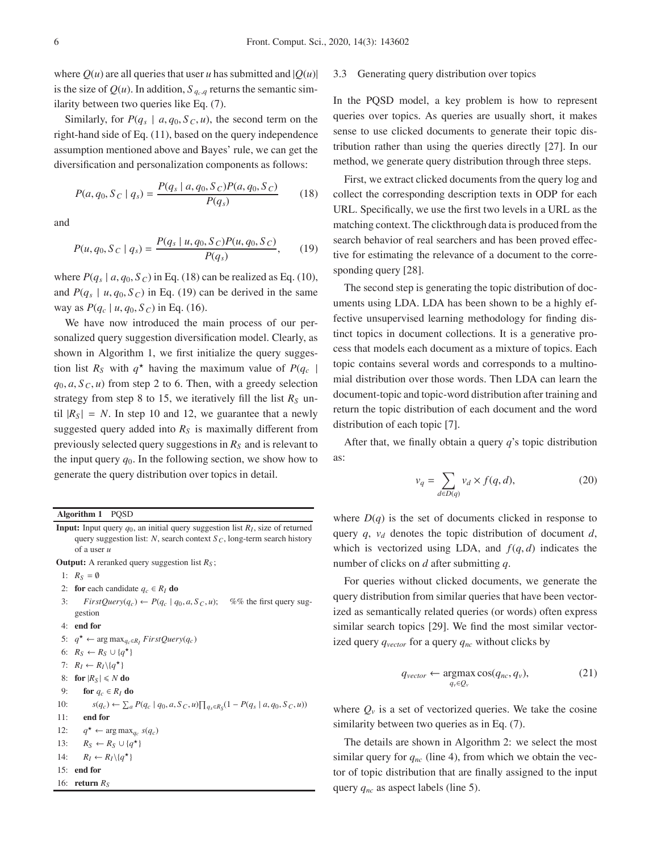where  $Q(u)$  are all queries that user *u* has submitted and  $|Q(u)|$ is the size of  $Q(u)$ . In addition,  $S_{q_c,q}$  returns the semantic similarity between two queries like Eq. (7).

Similarly, for  $P(q_s | a, q_0, S_c, u)$ , the second term on the right-hand side of Eq. (11), based on the query independence assumption mentioned above and Bayes' rule, we can get the diversification and personalization components as follows:

$$
P(a, q_0, S_C | q_s) = \frac{P(q_s | a, q_0, S_C)P(a, q_0, S_C)}{P(q_s)}
$$
(18)

and

$$
P(u, q_0, S_C | q_s) = \frac{P(q_s | u, q_0, S_C)P(u, q_0, S_C)}{P(q_s)},
$$
 (19)

where  $P(q_s | a, q_0, S_C)$  in Eq. (18) can be realized as Eq. (10), and  $P(q_s | u, q_0, S_C)$  in Eq. (19) can be derived in the same way as  $P(q_c | u, q_0, S_c)$  in Eq. (16).

We have now introduced the main process of our personalized query suggestion diversification model. Clearly, as shown in Algorithm 1, we first initialize the query suggestion list  $R_S$  with  $q^*$  having the maximum value of  $P(q_c |$  $q_0, a, S_C, u$  from step 2 to 6. Then, with a greedy selection strategy from step 8 to 15, we iteratively fill the list  $R<sub>S</sub>$  until  $|R_S| = N$ . In step 10 and 12, we guarantee that a newly suggested query added into  $R<sub>S</sub>$  is maximally different from previously selected query suggestions in  $R<sub>S</sub>$  and is relevant to the input query  $q_0$ . In the following section, we show how to generate the query distribution over topics in detail.

**Algorithm 1** PQSD

**Input:** Input query  $q_0$ , an initial query suggestion list  $R_I$ , size of returned query suggestion list: *N*, search context *S <sup>C</sup>*, long-term search history of a user *u*

**Output:** A reranked query suggestion list *RS* ;

- 1:  $R_S = \emptyset$
- 2: **for** each candidate  $q_c \in R_I$  **do**
- 3: *FirstQuery*( $q_c$ )  $\leftarrow$  *P*( $q_c$  |  $q_0$ , *a*, *S*<sub>*C*</sub>, *u*); %% the first query suggestion
- 4: **end for**
- 5:  $q^*$  ← arg max<sub>*q<sub>c</sub>*∈*R<sub>I</sub>*</sub> *FirstQuery*(*q<sub>c</sub>*)
- 6:  $R_S \leftarrow R_S \cup \{q^{\star}\}\$
- 7:  $R_I \leftarrow R_I \setminus \{q^{\star}\}\$
- 8: **for**  $|R_S| \le N$  **do**
- 9: **for**  $q_c \in R_I$  **do**
- 10: *s*(*q<sub>c</sub>*) ←  $\sum_a P(q_c | q_0, a, S_C, u) \prod_{q_s \in R_S} (1 P(q_s | a, q_0, S_C, u))$ 11: **end for** 12:  $q^* \leftarrow \arg \max_{q_c} s(q_c)$ 13:  $R_S \leftarrow R_S \cup \{q^{\star}\}\$ 14:  $R_I \leftarrow R_I \setminus \{q^{\star}\}\$
- 15: **end for**
- 16: **return**  $R_S$

## 3.3 Generating query distribution over topics

In the PQSD model, a key problem is how to represent queries over topics. As queries are usually short, it makes sense to use clicked documents to generate their topic distribution rather than using the queries directly [27]. In our method, we generate query distribution through three steps.

First, we extract clicked documents from the query log and collect the corresponding description texts in ODP for each URL. Specifically, we use the first two levels in a URL as the matching context. The clickthrough data is produced from the search behavior of real searchers and has been proved effective for estimating the relevance of a document to the corresponding query [28].

The second step is generating the topic distribution of documents using LDA. LDA has been shown to be a highly effective unsupervised learning methodology for finding distinct topics in document collections. It is a generative process that models each document as a mixture of topics. Each topic contains several words and corresponds to a multinomial distribution over those words. Then LDA can learn the document-topic and topic-word distribution after training and return the topic distribution of each document and the word distribution of each topic [7].

After that, we finally obtain a query *q*'s topic distribution as:

$$
v_q = \sum_{d \in D(q)} v_d \times f(q, d),\tag{20}
$$

where  $D(q)$  is the set of documents clicked in response to query  $q$ ,  $v_d$  denotes the topic distribution of document  $d$ , which is vectorized using LDA, and  $f(q, d)$  indicates the number of clicks on *d* after submitting *q*.

For queries without clicked documents, we generate the query distribution from similar queries that have been vectorized as semantically related queries (or words) often express similar search topics [29]. We find the most similar vectorized query *qvector* for a query *qnc* without clicks by

$$
q_{vector} \leftarrow \underset{q_v \in Q_v}{\text{argmax}} \cos(q_{nc}, q_v), \tag{21}
$$

where  $Q_v$  is a set of vectorized queries. We take the cosine similarity between two queries as in Eq. (7).

The details are shown in Algorithm 2: we select the most similar query for  $q_{nc}$  (line 4), from which we obtain the vector of topic distribution that are finally assigned to the input query *qnc* as aspect labels (line 5).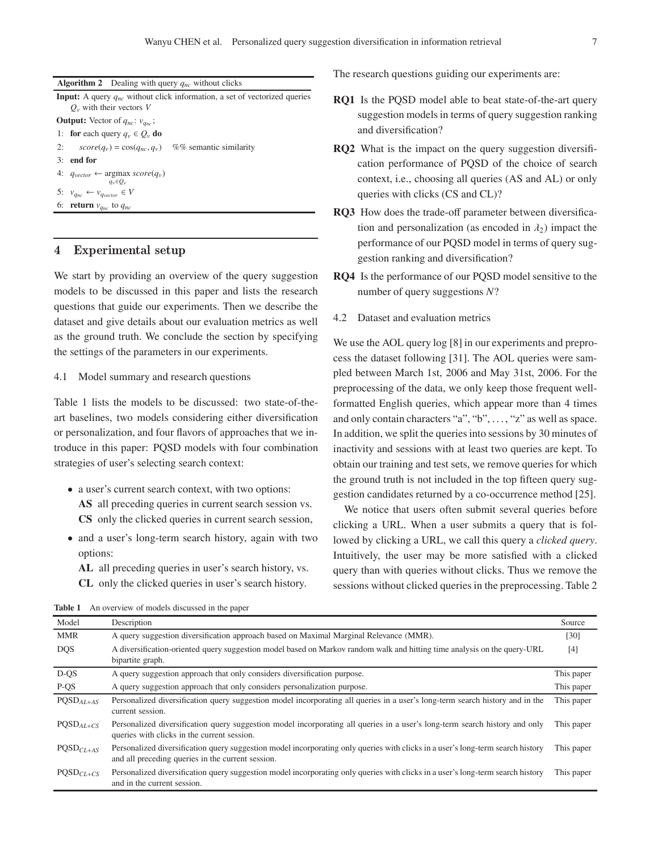|                                                    | <b>Algorithm 2</b> Dealing with query $q_{nc}$ without clicks                                                       |  |  |  |  |
|----------------------------------------------------|---------------------------------------------------------------------------------------------------------------------|--|--|--|--|
|                                                    | <b>Input:</b> A query $q_{nc}$ without click information, a set of vectorized queries<br>$Q_v$ with their vectors V |  |  |  |  |
| <b>Output:</b> Vector of $q_{nc}$ : $v_{q_{nc}}$ ; |                                                                                                                     |  |  |  |  |
|                                                    | 1: for each query $q_v \in Q_v$ do                                                                                  |  |  |  |  |
|                                                    | %% semantic similarity<br>2:<br>$score(q_v) = cos(q_{nc}, q_v)$                                                     |  |  |  |  |
|                                                    | $3:$ end for                                                                                                        |  |  |  |  |
|                                                    | 4: $q_{vector} \leftarrow \argmax score(q_v)$<br>$q_v \in O_v$                                                      |  |  |  |  |
|                                                    | 5: $v_{q_{nc}} \leftarrow v_{q_{vector}} \in V$                                                                     |  |  |  |  |
|                                                    | 6: <b>return</b> $v_{q_{nc}}$ to $q_{nc}$                                                                           |  |  |  |  |

## **4 Experimental setup**

We start by providing an overview of the query suggestion models to be discussed in this paper and lists the research questions that guide our experiments. Then we describe the dataset and give details about our evaluation metrics as well as the ground truth. We conclude the section by specifying the settings of the parameters in our experiments.

## 4.1 Model summary and research questions

Table 1 lists the models to be discussed: two state-of-theart baselines, two models considering either diversification or personalization, and four flavors of approaches that we introduce in this paper: PQSD models with four combination strategies of user's selecting search context:

- a user's current search context, with two options: **AS** all preceding queries in current search session vs. **CS** only the clicked queries in current search session,
- and a user's long-term search history, again with two options:
	- **AL** all preceding queries in user's search history, vs.
	- **CL** only the clicked queries in user's search history.

The research questions guiding our experiments are:

- **RQ1** Is the PQSD model able to beat state-of-the-art query suggestion models in terms of query suggestion ranking and diversification?
- **RQ2** What is the impact on the query suggestion diversification performance of PQSD of the choice of search context, i.e., choosing all queries (AS and AL) or only queries with clicks (CS and CL)?
- **RQ3** How does the trade-off parameter between diversification and personalization (as encoded in  $\lambda_2$ ) impact the performance of our PQSD model in terms of query suggestion ranking and diversification?
- **RQ4** Is the performance of our PQSD model sensitive to the number of query suggestions *N*?
- 4.2 Dataset and evaluation metrics

We use the AOL query  $log [8]$  in our experiments and preprocess the dataset following [31]. The AOL queries were sampled between March 1st, 2006 and May 31st, 2006. For the preprocessing of the data, we only keep those frequent wellformatted English queries, which appear more than 4 times and only contain characters "a", "b", ..., "z" as well as space. In addition, we split the queries into sessions by 30 minutes of inactivity and sessions with at least two queries are kept. To obtain our training and test sets, we remove queries for which the ground truth is not included in the top fifteen query suggestion candidates returned by a co-occurrence method [25].

We notice that users often submit several queries before clicking a URL. When a user submits a query that is followed by clicking a URL, we call this query a *clicked query*. Intuitively, the user may be more satisfied with a clicked query than with queries without clicks. Thus we remove the sessions without clicked queries in the preprocessing. Table 2

| <b>Table 1</b> An overview of models discussed in the paper |
|-------------------------------------------------------------|
|-------------------------------------------------------------|

| Model          | Description                                                                                                                                                                          | Source     |
|----------------|--------------------------------------------------------------------------------------------------------------------------------------------------------------------------------------|------------|
| <b>MMR</b>     | A query suggestion diversification approach based on Maximal Marginal Relevance (MMR).                                                                                               | [30]       |
| <b>DQS</b>     | A diversification-oriented query suggestion model based on Markov random walk and hitting time analysis on the query-URL<br>bipartite graph.                                         | [4]        |
| D-QS           | A query suggestion approach that only considers diversification purpose.                                                                                                             | This paper |
| P-QS           | A query suggestion approach that only considers personalization purpose.                                                                                                             | This paper |
| $POSD_{AL+AS}$ | Personalized diversification query suggestion model incorporating all queries in a user's long-term search history and in the<br>current session.                                    | This paper |
| $POSD_{AL+CS}$ | Personalized diversification query suggestion model incorporating all queries in a user's long-term search history and only<br>queries with clicks in the current session.           | This paper |
| $POSDCL+AS$    | Personalized diversification query suggestion model incorporating only queries with clicks in a user's long-term search history<br>and all preceding queries in the current session. | This paper |
| $POSDCL+CS$    | Personalized diversification query suggestion model incorporating only queries with clicks in a user's long-term search history<br>and in the current session.                       | This paper |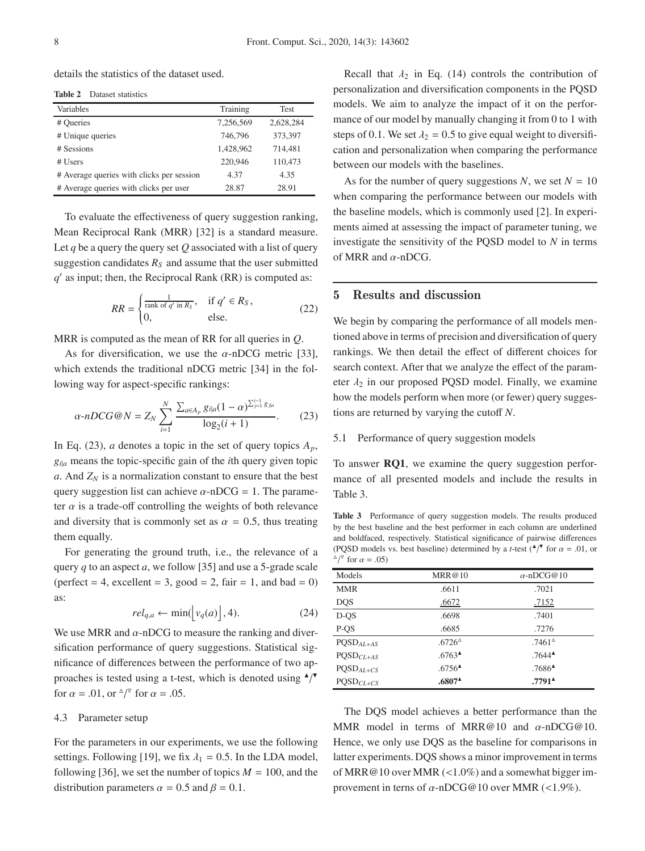details the statistics of the dataset used.

| Dataset statistics<br>Table 2 |  |
|-------------------------------|--|
|-------------------------------|--|

| Variables                                 | Training  | Test      |
|-------------------------------------------|-----------|-----------|
| # Queries                                 | 7.256.569 | 2,628,284 |
| # Unique queries                          | 746,796   | 373,397   |
| # Sessions                                | 1,428,962 | 714,481   |
| # Users                                   | 220,946   | 110,473   |
| # Average queries with clicks per session | 4.37      | 4.35      |
| # Average queries with clicks per user    | 28.87     | 28.91     |

To evaluate the effectiveness of query suggestion ranking, Mean Reciprocal Rank (MRR) [32] is a standard measure. Let  $q$  be a query the query set  $Q$  associated with a list of query suggestion candidates  $R<sub>S</sub>$  and assume that the user submitted  $q'$  as input; then, the Reciprocal Rank (RR) is computed as:

$$
RR = \begin{cases} \frac{1}{\operatorname{rank} \text{ of } q' \text{ in } R_S}, & \text{if } q' \in R_S, \\ 0, & \text{else.} \end{cases} \tag{22}
$$

MRR is computed as the mean of RR for all queries in *Q*.

As for diversification, we use the  $\alpha$ -nDCG metric [33], which extends the traditional nDCG metric [34] in the following way for aspect-specific rankings:

$$
\alpha \text{-} nDCG@N = Z_N \sum_{i=1}^{N} \frac{\sum_{a \in A_p} g_{i|a} (1 - \alpha)^{\sum_{j=1}^{i-1} g_{j|a}}}{\log_2 (i+1)}.
$$
 (23)

In Eq. (23), *a* denotes a topic in the set of query topics  $A_p$ ,  $g_{i|a}$  means the topic-specific gain of the *i*th query given topic  $a$ . And  $Z_N$  is a normalization constant to ensure that the best query suggestion list can achieve  $\alpha$ -nDCG = 1. The parameter  $\alpha$  is a trade-off controlling the weights of both relevance and diversity that is commonly set as  $\alpha = 0.5$ , thus treating them equally.

For generating the ground truth, i.e., the relevance of a query *q* to an aspect *a*, we follow [35] and use a 5-grade scale (perfect  $= 4$ , excellent  $= 3$ , good  $= 2$ , fair  $= 1$ , and bad  $= 0$ ) as:

$$
rel_{q,a} \leftarrow \min(|v_q(a)|, 4). \tag{24}
$$

We use MRR and  $\alpha$ -nDCG to measure the ranking and diversification performance of query suggestions. Statistical significance of differences between the performance of two approaches is tested using a t-test, which is denoted using  $\triangle$ / $\blacktriangledown$ for  $\alpha = .01$ , or  $\sqrt[\alpha]{ }$  for  $\alpha = .05$ .

#### 4.3 Parameter setup

For the parameters in our experiments, we use the following settings. Following [19], we fix  $\lambda_1 = 0.5$ . In the LDA model, following [36], we set the number of topics  $M = 100$ , and the distribution parameters  $\alpha = 0.5$  and  $\beta = 0.1$ .

Recall that  $\lambda_2$  in Eq. (14) controls the contribution of personalization and diversification components in the PQSD models. We aim to analyze the impact of it on the performance of our model by manually changing it from 0 to 1 with steps of 0.1. We set  $\lambda_2 = 0.5$  to give equal weight to diversification and personalization when comparing the performance between our models with the baselines.

As for the number of query suggestions *N*, we set  $N = 10$ when comparing the performance between our models with the baseline models, which is commonly used [2]. In experiments aimed at assessing the impact of parameter tuning, we investigate the sensitivity of the PQSD model to *N* in terms of MRR and  $\alpha$ -nDCG.

# **5 Results and discussion**

We begin by comparing the performance of all models mentioned above in terms of precision and diversification of query rankings. We then detail the effect of different choices for search context. After that we analyze the effect of the parameter  $\lambda_2$  in our proposed PQSD model. Finally, we examine how the models perform when more (or fewer) query suggestions are returned by varying the cutoff *N*.

## 5.1 Performance of query suggestion models

To answer **RQ1**, we examine the query suggestion performance of all presented models and include the results in Table 3.

**Table 3** Performance of query suggestion models. The results produced by the best baseline and the best performer in each column are underlined and boldfaced, respectively. Statistical significance of pairwise differences (PQSD models vs. best baseline) determined by a *t*-test  $(\cdot)^{\mathsf{T}}$  for  $\alpha = .01$ , or  $^{\triangle}/^{\triangledown}$  for  $\alpha = .05$ )

| Models      | MRR@10                                    | $\alpha$ -nDCG@10   |
|-------------|-------------------------------------------|---------------------|
| <b>MMR</b>  | .6611                                     | .7021               |
| <b>DQS</b>  | <u>.6672</u>                              | <u>.7152</u>        |
| $D-OS$      | .6698                                     | .7401               |
| P-QS        | .6685                                     | .7276               |
| $PQSDAL+AS$ | $.6726^$                                  | $.7461^{\circ}$     |
| $PQSDCL+AS$ | $.6763^{\textstyle \triangle}\$           | $.7644^{\triangle}$ |
| $PQSDAL+CS$ | $.6756$ <sup><math>\triangle</math></sup> | $.7686^{\triangle}$ |
| $PQSDCL+CS$ | $.6807*$                                  | $.7791^*$           |

The DQS model achieves a better performance than the MMR model in terms of MRR@10 and  $\alpha$ -nDCG@10. Hence, we only use DQS as the baseline for comparisons in latter experiments. DQS shows a minor improvement in terms of MRR@10 over MMR (<1.0%) and a somewhat bigger improvement in terns of  $\alpha$ -nDCG@10 over MMR (<1.9%).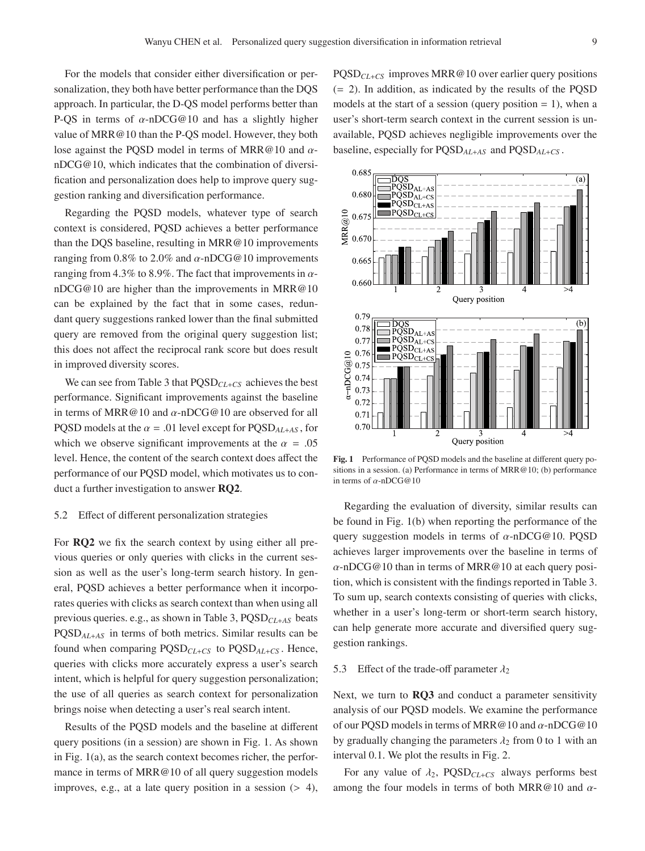For the models that consider either diversification or personalization, they both have better performance than the DQS approach. In particular, the D-QS model performs better than P-QS in terms of  $\alpha$ -nDCG@10 and has a slightly higher value of MRR@10 than the P-QS model. However, they both lose against the POSD model in terms of MRR@10 and  $\alpha$ nDCG@10, which indicates that the combination of diversification and personalization does help to improve query suggestion ranking and diversification performance.

Regarding the PQSD models, whatever type of search context is considered, PQSD achieves a better performance than the DQS baseline, resulting in MRR@10 improvements ranging from 0.8% to 2.0% and  $\alpha$ -nDCG@10 improvements ranging from 4.3% to 8.9%. The fact that improvements in  $\alpha$ nDCG@10 are higher than the improvements in MRR@10 can be explained by the fact that in some cases, redundant query suggestions ranked lower than the final submitted query are removed from the original query suggestion list; this does not affect the reciprocal rank score but does result in improved diversity scores.

We can see from Table 3 that PQSD*CL*+*CS* achieves the best performance. Significant improvements against the baseline in terms of MRR@10 and  $\alpha$ -nDCG@10 are observed for all PQSD models at the  $\alpha$  = .01 level except for PQSD<sub>*AL*+*AS*</sub>, for which we observe significant improvements at the  $\alpha = .05$ level. Hence, the content of the search context does affect the performance of our PQSD model, which motivates us to conduct a further investigation to answer **RQ2**.

#### 5.2 Effect of different personalization strategies

For **RQ2** we fix the search context by using either all previous queries or only queries with clicks in the current session as well as the user's long-term search history. In general, PQSD achieves a better performance when it incorporates queries with clicks as search context than when using all previous queries. e.g., as shown in Table 3, PQSD*CL*+*AS* beats PQSD*AL*+*AS* in terms of both metrics. Similar results can be found when comparing PQSD*CL*+*CS* to PQSD*AL*+*CS* . Hence, queries with clicks more accurately express a user's search intent, which is helpful for query suggestion personalization; the use of all queries as search context for personalization brings noise when detecting a user's real search intent.

Results of the PQSD models and the baseline at different query positions (in a session) are shown in Fig. 1. As shown in Fig. 1(a), as the search context becomes richer, the performance in terms of MRR@10 of all query suggestion models improves, e.g., at a late query position in a session  $(> 4)$ ,

PQSD*CL*+*CS* improves MRR@10 over earlier query positions (= 2). In addition, as indicated by the results of the PQSD models at the start of a session (query position  $= 1$ ), when a user's short-term search context in the current session is unavailable, PQSD achieves negligible improvements over the baseline, especially for PQSD*AL*+*AS* and PQSD*AL*+*CS* .



**Fig. 1** Performance of PQSD models and the baseline at different query positions in a session. (a) Performance in terms of MRR@10; (b) performance in terms of  $\alpha$ -nDCG@10

Regarding the evaluation of diversity, similar results can be found in Fig. 1(b) when reporting the performance of the query suggestion models in terms of  $\alpha$ -nDCG@10. POSD achieves larger improvements over the baseline in terms of  $\alpha$ -nDCG@10 than in terms of MRR@10 at each query position, which is consistent with the findings reported in Table 3. To sum up, search contexts consisting of queries with clicks, whether in a user's long-term or short-term search history, can help generate more accurate and diversified query suggestion rankings.

## 5.3 Effect of the trade-off parameter  $\lambda_2$

Next, we turn to **RQ3** and conduct a parameter sensitivity analysis of our PQSD models. We examine the performance of our PQSD models in terms of MRR@10 and α-nDCG@10 by gradually changing the parameters  $\lambda_2$  from 0 to 1 with an interval 0.1. We plot the results in Fig. 2.

For any value of  $\lambda_2$ , PQSD<sub>CL+CS</sub> always performs best among the four models in terms of both MRR@10 and  $\alpha$ -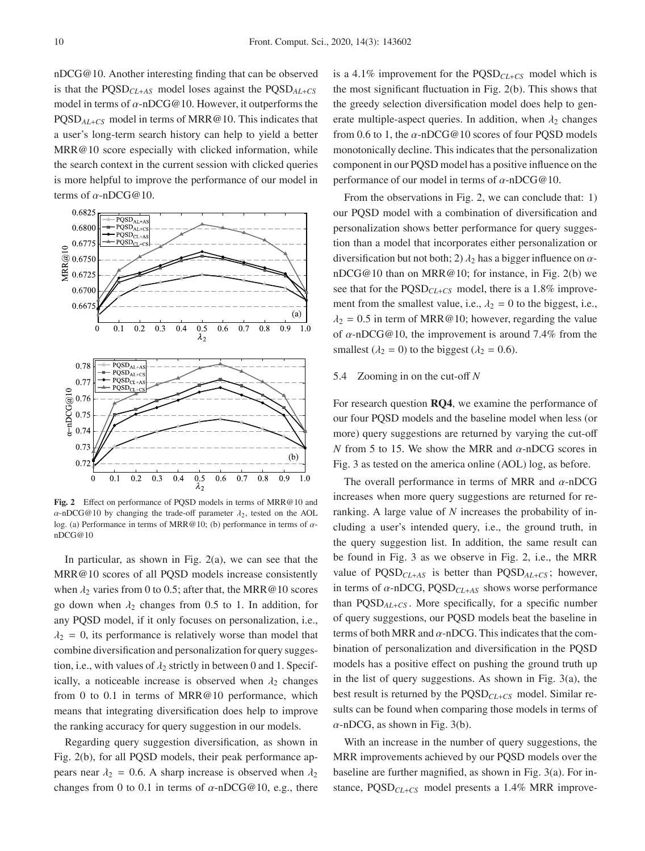nDCG@10. Another interesting finding that can be observed is that the PQSD*CL*+*AS* model loses against the PQSD*AL*+*CS* model in terms of  $\alpha$ -nDCG@10. However, it outperforms the PQSD*AL*+*CS* model in terms of MRR@10. This indicates that a user's long-term search history can help to yield a better MRR@10 score especially with clicked information, while the search context in the current session with clicked queries is more helpful to improve the performance of our model in terms of  $\alpha$ -nDCG@10.



**Fig. 2** Effect on performance of PQSD models in terms of MRR@10 and  $\alpha$ -nDCG@10 by changing the trade-off parameter  $\lambda_2$ , tested on the AOL log. (a) Performance in terms of MRR@10; (b) performance in terms of  $\alpha$ nDCG@10

In particular, as shown in Fig.  $2(a)$ , we can see that the MRR@10 scores of all PQSD models increase consistently when  $\lambda_2$  varies from 0 to 0.5; after that, the MRR@10 scores go down when  $\lambda_2$  changes from 0.5 to 1. In addition, for any PQSD model, if it only focuses on personalization, i.e.,  $\lambda_2 = 0$ , its performance is relatively worse than model that combine diversification and personalization for query suggestion, i.e., with values of  $\lambda_2$  strictly in between 0 and 1. Specifically, a noticeable increase is observed when  $\lambda_2$  changes from 0 to 0.1 in terms of MRR@10 performance, which means that integrating diversification does help to improve the ranking accuracy for query suggestion in our models.

Regarding query suggestion diversification, as shown in Fig. 2(b), for all PQSD models, their peak performance appears near  $\lambda_2 = 0.6$ . A sharp increase is observed when  $\lambda_2$ changes from 0 to 0.1 in terms of  $\alpha$ -nDCG@10, e.g., there is a 4.1% improvement for the PQSD*CL*+*CS* model which is the most significant fluctuation in Fig. 2(b). This shows that the greedy selection diversification model does help to generate multiple-aspect queries. In addition, when  $\lambda_2$  changes from 0.6 to 1, the  $\alpha$ -nDCG@10 scores of four PQSD models monotonically decline. This indicates that the personalization component in our PQSD model has a positive influence on the performance of our model in terms of  $\alpha$ -nDCG@10.

From the observations in Fig. 2, we can conclude that: 1) our PQSD model with a combination of diversification and personalization shows better performance for query suggestion than a model that incorporates either personalization or diversification but not both; 2)  $\lambda_2$  has a bigger influence on  $\alpha$ nDCG@10 than on MRR@10; for instance, in Fig. 2(b) we see that for the PQSD*CL*+*CS* model, there is a 1.8% improvement from the smallest value, i.e.,  $\lambda_2 = 0$  to the biggest, i.e.,  $\lambda_2 = 0.5$  in term of MRR@10; however, regarding the value of  $\alpha$ -nDCG@10, the improvement is around 7.4% from the smallest ( $\lambda_2 = 0$ ) to the biggest ( $\lambda_2 = 0.6$ ).

### 5.4 Zooming in on the cut-off *N*

For research question **RQ4**, we examine the performance of our four PQSD models and the baseline model when less (or more) query suggestions are returned by varying the cut-off *N* from 5 to 15. We show the MRR and  $\alpha$ -nDCG scores in Fig. 3 as tested on the america online (AOL) log, as before.

The overall performance in terms of MRR and  $\alpha$ -nDCG increases when more query suggestions are returned for reranking. A large value of *N* increases the probability of including a user's intended query, i.e., the ground truth, in the query suggestion list. In addition, the same result can be found in Fig. 3 as we observe in Fig. 2, i.e., the MRR value of PQSD*CL*+*AS* is better than PQSD*AL*+*CS* ; however, in terms of α-nDCG, PQSD*CL*+*AS* shows worse performance than PQSD*AL*+*CS* . More specifically, for a specific number of query suggestions, our PQSD models beat the baseline in terms of both MRR and  $\alpha$ -nDCG. This indicates that the combination of personalization and diversification in the PQSD models has a positive effect on pushing the ground truth up in the list of query suggestions. As shown in Fig. 3(a), the best result is returned by the PQSD*CL*+*CS* model. Similar results can be found when comparing those models in terms of  $\alpha$ -nDCG, as shown in Fig. 3(b).

With an increase in the number of query suggestions, the MRR improvements achieved by our PQSD models over the baseline are further magnified, as shown in Fig. 3(a). For instance, PQSD*CL*+*CS* model presents a 1.4% MRR improve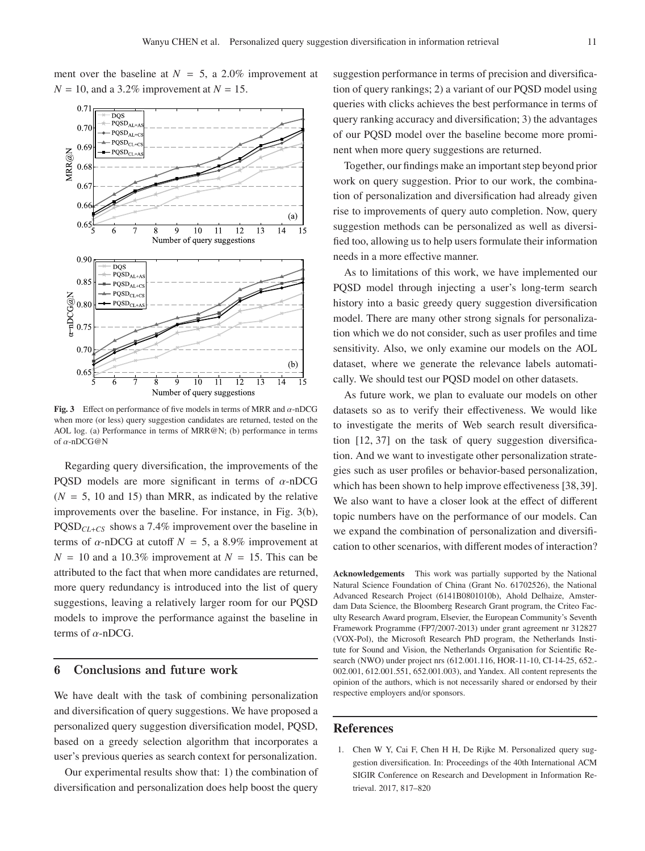ment over the baseline at  $N = 5$ , a 2.0% improvement at  $N = 10$ , and a 3.2% improvement at  $N = 15$ .



**Fig. 3** Effect on performance of five models in terms of MRR and  $\alpha$ -nDCG when more (or less) query suggestion candidates are returned, tested on the AOL log. (a) Performance in terms of MRR@N; (b) performance in terms of α-nDCG@N

Regarding query diversification, the improvements of the PQSD models are more significant in terms of  $\alpha$ -nDCG  $(N = 5, 10, 10)$  and 15) than MRR, as indicated by the relative improvements over the baseline. For instance, in Fig. 3(b), PQSD*CL*+*CS* shows a 7.4% improvement over the baseline in terms of  $\alpha$ -nDCG at cutoff  $N = 5$ , a 8.9% improvement at  $N = 10$  and a 10.3% improvement at  $N = 15$ . This can be attributed to the fact that when more candidates are returned, more query redundancy is introduced into the list of query suggestions, leaving a relatively larger room for our PQSD models to improve the performance against the baseline in terms of  $\alpha$ -nDCG.

## **6 Conclusions and future work**

We have dealt with the task of combining personalization and diversification of query suggestions. We have proposed a personalized query suggestion diversification model, PQSD, based on a greedy selection algorithm that incorporates a user's previous queries as search context for personalization.

Our experimental results show that: 1) the combination of diversification and personalization does help boost the query

suggestion performance in terms of precision and diversification of query rankings; 2) a variant of our PQSD model using queries with clicks achieves the best performance in terms of query ranking accuracy and diversification; 3) the advantages of our PQSD model over the baseline become more prominent when more query suggestions are returned.

Together, our findings make an important step beyond prior work on query suggestion. Prior to our work, the combination of personalization and diversification had already given rise to improvements of query auto completion. Now, query suggestion methods can be personalized as well as diversified too, allowing us to help users formulate their information needs in a more effective manner.

As to limitations of this work, we have implemented our PQSD model through injecting a user's long-term search history into a basic greedy query suggestion diversification model. There are many other strong signals for personalization which we do not consider, such as user profiles and time sensitivity. Also, we only examine our models on the AOL dataset, where we generate the relevance labels automatically. We should test our PQSD model on other datasets.

As future work, we plan to evaluate our models on other datasets so as to verify their effectiveness. We would like to investigate the merits of Web search result diversification [12, 37] on the task of query suggestion diversification. And we want to investigate other personalization strategies such as user profiles or behavior-based personalization, which has been shown to help improve effectiveness [38, 39]. We also want to have a closer look at the effect of different topic numbers have on the performance of our models. Can we expand the combination of personalization and diversification to other scenarios, with different modes of interaction?

**Acknowledgements** This work was partially supported by the National Natural Science Foundation of China (Grant No. 61702526), the National Advanced Research Project (6141B0801010b), Ahold Delhaize, Amsterdam Data Science, the Bloomberg Research Grant program, the Criteo Faculty Research Award program, Elsevier, the European Community's Seventh Framework Programme (FP7/2007-2013) under grant agreement nr 312827 (VOX-Pol), the Microsoft Research PhD program, the Netherlands Institute for Sound and Vision, the Netherlands Organisation for Scientific Research (NWO) under project nrs (612.001.116, HOR-11-10, CI-14-25, 652.- 002.001, 612.001.551, 652.001.003), and Yandex. All content represents the opinion of the authors, which is not necessarily shared or endorsed by their respective employers and/or sponsors.

#### **References**

1. Chen W Y, Cai F, Chen H H, De Rijke M. Personalized query suggestion diversification. In: Proceedings of the 40th International ACM SIGIR Conference on Research and Development in Information Retrieval. 2017, 817–820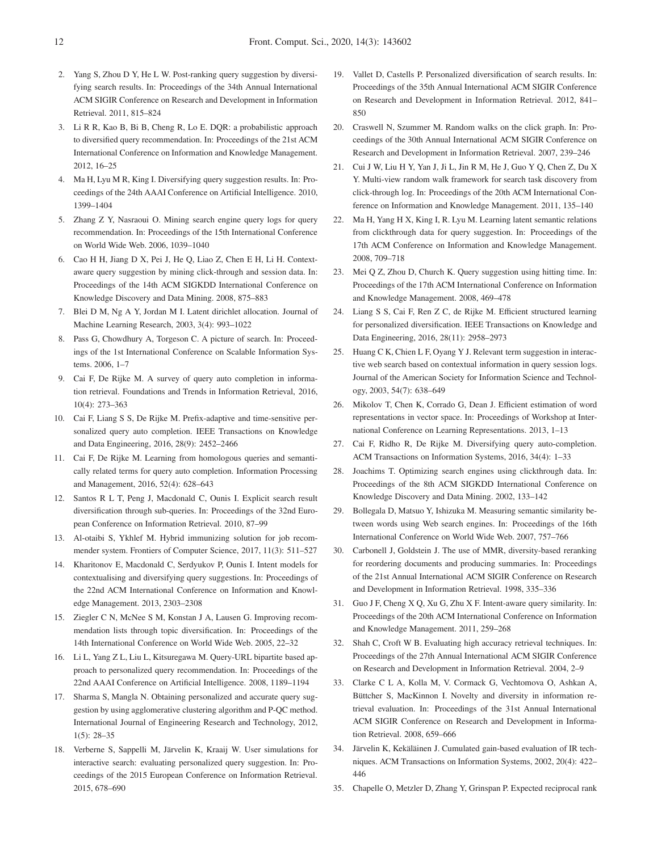- 2. Yang S, Zhou D Y, He L W. Post-ranking query suggestion by diversifying search results. In: Proceedings of the 34th Annual International ACM SIGIR Conference on Research and Development in Information Retrieval. 2011, 815–824
- 3. Li R R, Kao B, Bi B, Cheng R, Lo E. DQR: a probabilistic approach to diversified query recommendation. In: Proceedings of the 21st ACM International Conference on Information and Knowledge Management. 2012, 16–25
- 4. Ma H, Lyu M R, King I. Diversifying query suggestion results. In: Proceedings of the 24th AAAI Conference on Artificial Intelligence. 2010, 1399–1404
- 5. Zhang Z Y, Nasraoui O. Mining search engine query logs for query recommendation. In: Proceedings of the 15th International Conference on World Wide Web. 2006, 1039–1040
- 6. Cao H H, Jiang D X, Pei J, He Q, Liao Z, Chen E H, Li H. Contextaware query suggestion by mining click-through and session data. In: Proceedings of the 14th ACM SIGKDD International Conference on Knowledge Discovery and Data Mining. 2008, 875–883
- 7. Blei D M, Ng A Y, Jordan M I. Latent dirichlet allocation. Journal of Machine Learning Research, 2003, 3(4): 993–1022
- 8. Pass G, Chowdhury A, Torgeson C. A picture of search. In: Proceedings of the 1st International Conference on Scalable Information Systems. 2006, 1–7
- 9. Cai F, De Rijke M. A survey of query auto completion in information retrieval. Foundations and Trends in Information Retrieval, 2016, 10(4): 273–363
- 10. Cai F, Liang S S, De Rijke M. Prefix-adaptive and time-sensitive personalized query auto completion. IEEE Transactions on Knowledge and Data Engineering, 2016, 28(9): 2452–2466
- 11. Cai F, De Rijke M. Learning from homologous queries and semantically related terms for query auto completion. Information Processing and Management, 2016, 52(4): 628–643
- 12. Santos R L T, Peng J, Macdonald C, Ounis I. Explicit search result diversification through sub-queries. In: Proceedings of the 32nd European Conference on Information Retrieval. 2010, 87–99
- 13. Al-otaibi S, Ykhlef M. Hybrid immunizing solution for job recommender system. Frontiers of Computer Science, 2017, 11(3): 511–527
- 14. Kharitonov E, Macdonald C, Serdyukov P, Ounis I. Intent models for contextualising and diversifying query suggestions. In: Proceedings of the 22nd ACM International Conference on Information and Knowledge Management. 2013, 2303–2308
- 15. Ziegler C N, McNee S M, Konstan J A, Lausen G. Improving recommendation lists through topic diversification. In: Proceedings of the 14th International Conference on World Wide Web. 2005, 22–32
- 16. Li L, Yang Z L, Liu L, Kitsuregawa M. Query-URL bipartite based approach to personalized query recommendation. In: Proceedings of the 22nd AAAI Conference on Artificial Intelligence. 2008, 1189–1194
- 17. Sharma S, Mangla N. Obtaining personalized and accurate query suggestion by using agglomerative clustering algorithm and P-QC method. International Journal of Engineering Research and Technology, 2012, 1(5): 28–35
- 18. Verberne S, Sappelli M, Järvelin K, Kraaij W. User simulations for interactive search: evaluating personalized query suggestion. In: Proceedings of the 2015 European Conference on Information Retrieval. 2015, 678–690
- 19. Vallet D, Castells P. Personalized diversification of search results. In: Proceedings of the 35th Annual International ACM SIGIR Conference on Research and Development in Information Retrieval. 2012, 841– 850
- 20. Craswell N, Szummer M. Random walks on the click graph. In: Proceedings of the 30th Annual International ACM SIGIR Conference on Research and Development in Information Retrieval. 2007, 239–246
- 21. Cui J W, Liu H Y, Yan J, Ji L, Jin R M, He J, Guo Y Q, Chen Z, Du X Y. Multi-view random walk framework for search task discovery from click-through log. In: Proceedings of the 20th ACM International Conference on Information and Knowledge Management. 2011, 135–140
- 22. Ma H, Yang H X, King I, R. Lyu M. Learning latent semantic relations from clickthrough data for query suggestion. In: Proceedings of the 17th ACM Conference on Information and Knowledge Management. 2008, 709–718
- 23. Mei Q Z, Zhou D, Church K. Query suggestion using hitting time. In: Proceedings of the 17th ACM International Conference on Information and Knowledge Management. 2008, 469–478
- 24. Liang S S, Cai F, Ren Z C, de Rijke M. Efficient structured learning for personalized diversification. IEEE Transactions on Knowledge and Data Engineering, 2016, 28(11): 2958–2973
- 25. Huang C K, Chien L F, Oyang Y J. Relevant term suggestion in interactive web search based on contextual information in query session logs. Journal of the American Society for Information Science and Technology, 2003, 54(7): 638–649
- 26. Mikolov T, Chen K, Corrado G, Dean J. Efficient estimation of word representations in vector space. In: Proceedings of Workshop at International Conference on Learning Representations. 2013, 1–13
- 27. Cai F, Ridho R, De Rijke M. Diversifying query auto-completion. ACM Transactions on Information Systems, 2016, 34(4): 1–33
- 28. Joachims T. Optimizing search engines using clickthrough data. In: Proceedings of the 8th ACM SIGKDD International Conference on Knowledge Discovery and Data Mining. 2002, 133–142
- 29. Bollegala D, Matsuo Y, Ishizuka M. Measuring semantic similarity between words using Web search engines. In: Proceedings of the 16th International Conference on World Wide Web. 2007, 757–766
- 30. Carbonell J, Goldstein J. The use of MMR, diversity-based reranking for reordering documents and producing summaries. In: Proceedings of the 21st Annual International ACM SIGIR Conference on Research and Development in Information Retrieval. 1998, 335–336
- 31. Guo J F, Cheng X Q, Xu G, Zhu X F. Intent-aware query similarity. In: Proceedings of the 20th ACM International Conference on Information and Knowledge Management. 2011, 259–268
- 32. Shah C, Croft W B. Evaluating high accuracy retrieval techniques. In: Proceedings of the 27th Annual International ACM SIGIR Conference on Research and Development in Information Retrieval. 2004, 2–9
- 33. Clarke C L A, Kolla M, V. Cormack G, Vechtomova O, Ashkan A, Büttcher S, MacKinnon I. Novelty and diversity in information retrieval evaluation. In: Proceedings of the 31st Annual International ACM SIGIR Conference on Research and Development in Information Retrieval. 2008, 659–666
- 34. Järvelin K, Kekäläinen J. Cumulated gain-based evaluation of IR techniques. ACM Transactions on Information Systems, 2002, 20(4): 422– 446
- 35. Chapelle O, Metzler D, Zhang Y, Grinspan P. Expected reciprocal rank